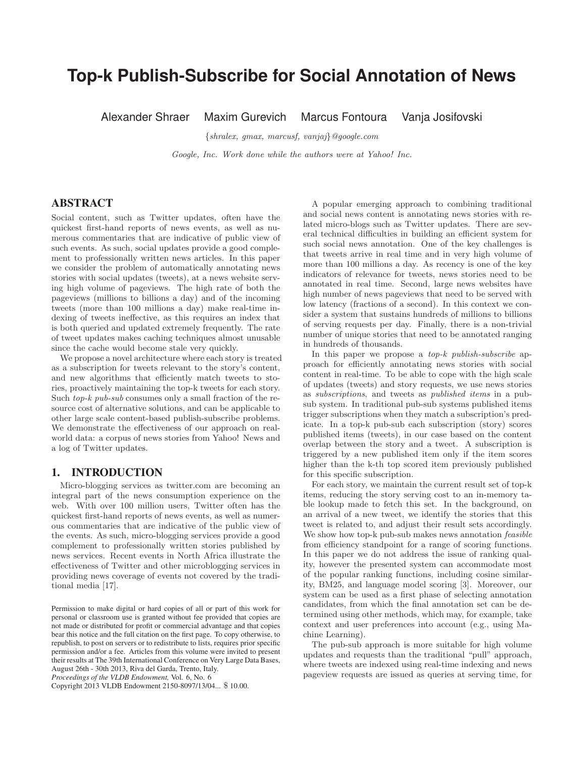# **Top-k Publish-Subscribe for Social Annotation of News**

Alexander Shraer Maxim Gurevich Marcus Fontoura Vanja Josifovski

{shralex, gmax, marcusf, vanjaj}@google.com

Google, Inc. Work done while the authors were at Yahoo! Inc.

# ABSTRACT

Social content, such as Twitter updates, often have the quickest first-hand reports of news events, as well as numerous commentaries that are indicative of public view of such events. As such, social updates provide a good complement to professionally written news articles. In this paper we consider the problem of automatically annotating news stories with social updates (tweets), at a news website serving high volume of pageviews. The high rate of both the pageviews (millions to billions a day) and of the incoming tweets (more than 100 millions a day) make real-time indexing of tweets ineffective, as this requires an index that is both queried and updated extremely frequently. The rate of tweet updates makes caching techniques almost unusable since the cache would become stale very quickly.

We propose a novel architecture where each story is treated as a subscription for tweets relevant to the story's content, and new algorithms that efficiently match tweets to stories, proactively maintaining the top-k tweets for each story. Such top-k pub-sub consumes only a small fraction of the resource cost of alternative solutions, and can be applicable to other large scale content-based publish-subscribe problems. We demonstrate the effectiveness of our approach on realworld data: a corpus of news stories from Yahoo! News and a log of Twitter updates.

# 1. INTRODUCTION

Micro-blogging services as twitter.com are becoming an integral part of the news consumption experience on the web. With over 100 million users, Twitter often has the quickest first-hand reports of news events, as well as numerous commentaries that are indicative of the public view of the events. As such, micro-blogging services provide a good complement to professionally written stories published by news services. Recent events in North Africa illustrate the effectiveness of Twitter and other microblogging services in providing news coverage of events not covered by the traditional media [17].

*Proceedings of the VLDB Endowment,* Vol. 6, No. 6

Copyright 2013 VLDB Endowment 2150-8097/13/04... \$ 10.00.

A popular emerging approach to combining traditional and social news content is annotating news stories with related micro-blogs such as Twitter updates. There are several technical difficulties in building an efficient system for such social news annotation. One of the key challenges is that tweets arrive in real time and in very high volume of more than 100 millions a day. As recency is one of the key indicators of relevance for tweets, news stories need to be annotated in real time. Second, large news websites have high number of news pageviews that need to be served with low latency (fractions of a second). In this context we consider a system that sustains hundreds of millions to billions of serving requests per day. Finally, there is a non-trivial number of unique stories that need to be annotated ranging in hundreds of thousands.

In this paper we propose a  $top-k$  publish-subscribe approach for efficiently annotating news stories with social content in real-time. To be able to cope with the high scale of updates (tweets) and story requests, we use news stories as subscriptions, and tweets as published items in a pubsub system. In traditional pub-sub systems published items trigger subscriptions when they match a subscription's predicate. In a top-k pub-sub each subscription (story) scores published items (tweets), in our case based on the content overlap between the story and a tweet. A subscription is triggered by a new published item only if the item scores higher than the k-th top scored item previously published for this specific subscription.

For each story, we maintain the current result set of top-k items, reducing the story serving cost to an in-memory table lookup made to fetch this set. In the background, on an arrival of a new tweet, we identify the stories that this tweet is related to, and adjust their result sets accordingly. We show how top-k pub-sub makes news annotation *feasible* from efficiency standpoint for a range of scoring functions. In this paper we do not address the issue of ranking quality, however the presented system can accommodate most of the popular ranking functions, including cosine similarity, BM25, and language model scoring [3]. Moreover, our system can be used as a first phase of selecting annotation candidates, from which the final annotation set can be determined using other methods, which may, for example, take context and user preferences into account (e.g., using Machine Learning).

The pub-sub approach is more suitable for high volume updates and requests than the traditional "pull" approach, where tweets are indexed using real-time indexing and news pageview requests are issued as queries at serving time, for

Permission to make digital or hard copies of all or part of this work for personal or classroom use is granted without fee provided that copies are not made or distributed for profit or commercial advantage and that copies bear this notice and the full citation on the first page. To copy otherwise, to republish, to post on servers or to redistribute to lists, requires prior specific permission and/or a fee. Articles from this volume were invited to present their results at The 39th International Conference on Very Large Data Bases, August 26th - 30th 2013, Riva del Garda, Trento, Italy.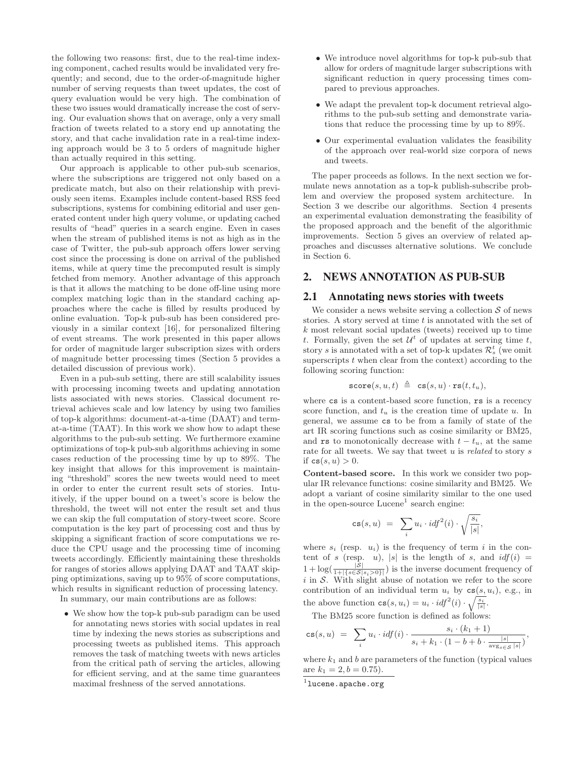the following two reasons: first, due to the real-time indexing component, cached results would be invalidated very frequently; and second, due to the order-of-magnitude higher number of serving requests than tweet updates, the cost of query evaluation would be very high. The combination of these two issues would dramatically increase the cost of serving. Our evaluation shows that on average, only a very small fraction of tweets related to a story end up annotating the story, and that cache invalidation rate in a real-time indexing approach would be 3 to 5 orders of magnitude higher than actually required in this setting.

Our approach is applicable to other pub-sub scenarios, where the subscriptions are triggered not only based on a predicate match, but also on their relationship with previously seen items. Examples include content-based RSS feed subscriptions, systems for combining editorial and user generated content under high query volume, or updating cached results of "head" queries in a search engine. Even in cases when the stream of published items is not as high as in the case of Twitter, the pub-sub approach offers lower serving cost since the processing is done on arrival of the published items, while at query time the precomputed result is simply fetched from memory. Another advantage of this approach is that it allows the matching to be done off-line using more complex matching logic than in the standard caching approaches where the cache is filled by results produced by online evaluation. Top-k pub-sub has been considered previously in a similar context [16], for personalized filtering of event streams. The work presented in this paper allows for order of magnitude larger subscription sizes with orders of magnitude better processing times (Section 5 provides a detailed discussion of previous work).

Even in a pub-sub setting, there are still scalability issues with processing incoming tweets and updating annotation lists associated with news stories. Classical document retrieval achieves scale and low latency by using two families of top-k algorithms: document-at-a-time (DAAT) and termat-a-time (TAAT). In this work we show how to adapt these algorithms to the pub-sub setting. We furthermore examine optimizations of top-k pub-sub algorithms achieving in some cases reduction of the processing time by up to 89%. The key insight that allows for this improvement is maintaining "threshold" scores the new tweets would need to meet in order to enter the current result sets of stories. Intuitively, if the upper bound on a tweet's score is below the threshold, the tweet will not enter the result set and thus we can skip the full computation of story-tweet score. Score computation is the key part of processing cost and thus by skipping a significant fraction of score computations we reduce the CPU usage and the processing time of incoming tweets accordingly. Efficiently maintaining these thresholds for ranges of stories allows applying DAAT and TAAT skipping optimizations, saving up to 95% of score computations, which results in significant reduction of processing latency.

In summary, our main contributions are as follows:

• We show how the top-k pub-sub paradigm can be used for annotating news stories with social updates in real time by indexing the news stories as subscriptions and processing tweets as published items. This approach removes the task of matching tweets with news articles from the critical path of serving the articles, allowing for efficient serving, and at the same time guarantees maximal freshness of the served annotations.

- We introduce novel algorithms for top-k pub-sub that allow for orders of magnitude larger subscriptions with significant reduction in query processing times compared to previous approaches.
- We adapt the prevalent top-k document retrieval algorithms to the pub-sub setting and demonstrate variations that reduce the processing time by up to 89%.
- Our experimental evaluation validates the feasibility of the approach over real-world size corpora of news and tweets.

The paper proceeds as follows. In the next section we formulate news annotation as a top-k publish-subscribe problem and overview the proposed system architecture. In Section 3 we describe our algorithms. Section 4 presents an experimental evaluation demonstrating the feasibility of the proposed approach and the benefit of the algorithmic improvements. Section 5 gives an overview of related approaches and discusses alternative solutions. We conclude in Section 6.

# 2. NEWS ANNOTATION AS PUB-SUB

#### 2.1 Annotating news stories with tweets

We consider a news website serving a collection  $S$  of news stories. A story served at time  $t$  is annotated with the set of k most relevant social updates (tweets) received up to time t. Formally, given the set  $\mathcal{U}^t$  of updates at serving time t, story s is annotated with a set of top-k updates  $\mathcal{R}_s^t$  (we omit superscripts  $t$  when clear from the context) according to the following scoring function:

$$
\mathtt{score}(s,u,t) ~\triangleq~ \mathtt{cs}(s,u) \cdot \mathtt{rs}(t,t_u),
$$

where cs is a content-based score function, rs is a recency score function, and  $t_u$  is the creation time of update u. In general, we assume cs to be from a family of state of the art IR scoring functions such as cosine similarity or BM25, and rs to monotonically decrease with  $t - t_u$ , at the same rate for all tweets. We say that tweet  $u$  is *related* to story  $s$ if  $cs(s, u) > 0$ .

**Content-based score.** In this work we consider two popular IR relevance functions: cosine similarity and BM25. We adopt a variant of cosine similarity similar to the one used in the open-source  $Lucene<sup>1</sup>$  search engine:

$$
\mathtt{cs}(s,u) \ = \ \sum_i u_i \cdot i \mathit{df}^2(i) \cdot \sqrt{\frac{s_i}{|s|}},
$$

where  $s_i$  (resp.  $u_i$ ) is the frequency of term i in the content of s (resp. u), |s| is the length of s, and  $\mathrm{id} f(i) =$  $1 + \log(\frac{|\mathcal{S}|}{1 + |\{s \in S | s_i > 0\}|})$  is the inverse document frequency of  $i$  in  $S$ . With slight abuse of notation we refer to the score contribution of an individual term  $u_i$  by  $cs(s, u_i)$ , e.g., in the above function  $cs(s, u_i) = u_i \cdot idf^2(i) \cdot \sqrt{\frac{s_i}{|s|}}$ .

The BM25 score function is defined as follows:

$$
\mathtt{cs}(s,u) \ = \ \sum_i u_i \cdot idf(i) \cdot \frac{s_i \cdot (k_1+1)}{s_i + k_1 \cdot (1-b+b \cdot \frac{|s|}{\mathrm{avg}_{s \in S} |s|})},
$$

where  $k_1$  and b are parameters of the function (typical values are  $k_1 = 2, b = 0.75$ .

<sup>&</sup>lt;sup>1</sup>lucene.apache.org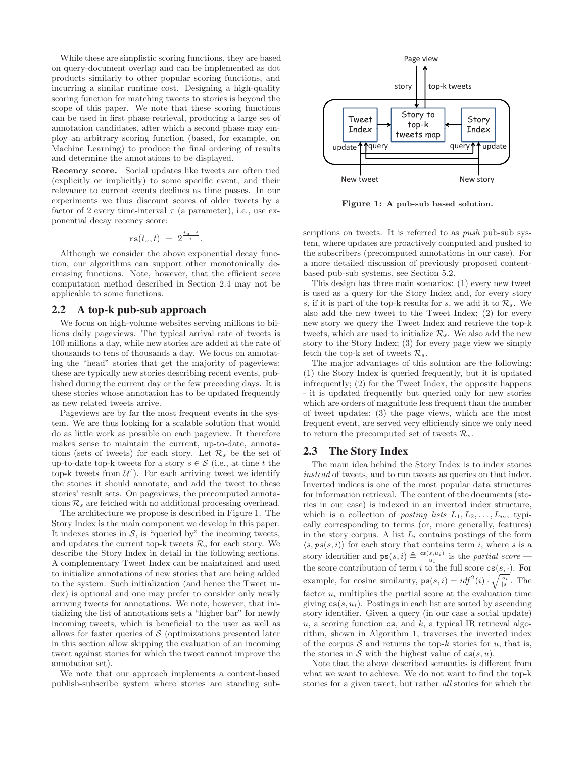While these are simplistic scoring functions, they are based on query-document overlap and can be implemented as dot products similarly to other popular scoring functions, and incurring a similar runtime cost. Designing a high-quality scoring function for matching tweets to stories is beyond the scope of this paper. We note that these scoring functions can be used in first phase retrieval, producing a large set of annotation candidates, after which a second phase may employ an arbitrary scoring function (based, for example, on Machine Learning) to produce the final ordering of results and determine the annotations to be displayed.

**Recency score.** Social updates like tweets are often tied (explicitly or implicitly) to some specific event, and their relevance to current events declines as time passes. In our experiments we thus discount scores of older tweets by a factor of 2 every time-interval  $\tau$  (a parameter), i.e., use exponential decay recency score:

$$
\texttt{rs}(t_u, t) = 2^{\frac{t_u - t}{\tau}}.
$$

Although we consider the above exponential decay function, our algorithms can support other monotonically decreasing functions. Note, however, that the efficient score computation method described in Section 2.4 may not be applicable to some functions.

## 2.2 A top-k pub-sub approach

We focus on high-volume websites serving millions to billions daily pageviews. The typical arrival rate of tweets is 100 millions a day, while new stories are added at the rate of thousands to tens of thousands a day. We focus on annotating the "head" stories that get the majority of pageviews; these are typically new stories describing recent events, published during the current day or the few preceding days. It is these stories whose annotation has to be updated frequently as new related tweets arrive.

Pageviews are by far the most frequent events in the system. We are thus looking for a scalable solution that would do as little work as possible on each pageview. It therefore makes sense to maintain the current, up-to-date, annotations (sets of tweets) for each story. Let  $\mathcal{R}_s$  be the set of up-to-date top-k tweets for a story  $s \in \mathcal{S}$  (i.e., at time t the top-k tweets from  $\mathcal{U}^t$ ). For each arriving tweet we identify the stories it should annotate, and add the tweet to these stories' result sets. On pageviews, the precomputed annotations  $\mathcal{R}_s$  are fetched with no additional processing overhead.

The architecture we propose is described in Figure 1. The Story Index is the main component we develop in this paper. It indexes stories in  $S$ , is "queried by" the incoming tweets, and updates the current top-k tweets  $\mathcal{R}_s$  for each story. We describe the Story Index in detail in the following sections. A complementary Tweet Index can be maintained and used to initialize annotations of new stories that are being added to the system. Such initialization (and hence the Tweet index) is optional and one may prefer to consider only newly arriving tweets for annotations. We note, however, that initializing the list of annotations sets a "higher bar" for newly incoming tweets, which is beneficial to the user as well as allows for faster queries of  $\mathcal S$  (optimizations presented later in this section allow skipping the evaluation of an incoming tweet against stories for which the tweet cannot improve the annotation set).

We note that our approach implements a content-based publish-subscribe system where stories are standing sub-



**Figure 1: A pub-sub based solution.**

scriptions on tweets. It is referred to as *push* pub-sub system, where updates are proactively computed and pushed to the subscribers (precomputed annotations in our case). For a more detailed discussion of previously proposed contentbased pub-sub systems, see Section 5.2.

This design has three main scenarios: (1) every new tweet is used as a query for the Story Index and, for every story s, if it is part of the top-k results for s, we add it to  $\mathcal{R}_s$ . We also add the new tweet to the Tweet Index; (2) for every new story we query the Tweet Index and retrieve the top-k tweets, which are used to initialize  $\mathcal{R}_s$ . We also add the new story to the Story Index; (3) for every page view we simply fetch the top-k set of tweets  $\mathcal{R}_s$ .

The major advantages of this solution are the following: (1) the Story Index is queried frequently, but it is updated infrequently; (2) for the Tweet Index, the opposite happens - it is updated frequently but queried only for new stories which are orders of magnitude less frequent than the number of tweet updates; (3) the page views, which are the most frequent event, are served very efficiently since we only need to return the precomputed set of tweets  $\mathcal{R}_s$ .

# 2.3 The Story Index

The main idea behind the Story Index is to index stories instead of tweets, and to run tweets as queries on that index. Inverted indices is one of the most popular data structures for information retrieval. The content of the documents (stories in our case) is indexed in an inverted index structure, which is a collection of *posting lists*  $L_1, L_2, \ldots, L_m$ , typically corresponding to terms (or, more generally, features) in the story corpus. A list  $L_i$  contains postings of the form  $\langle s, \mathit{ps}(s, i) \rangle$  for each story that contains term i, where s is a story identifier and  $\mathsf{ps}(s, i) \triangleq \frac{\mathsf{cs}(s, u_i)}{u_i}$  is the partial score the score contribution of term i to the full score  $cs(s, \cdot)$ . For example, for cosine similarity,  $\mathbf{ps}(s, i) = idf^2(i) \cdot \sqrt{\frac{s_i}{|s|}}$ . The factor  $u_i$  multiplies the partial score at the evaluation time giving  $cs(s, u_i)$ . Postings in each list are sorted by ascending story identifier. Given a query (in our case a social update) u, a scoring function cs, and  $k$ , a typical IR retrieval algorithm, shown in Algorithm 1, traverses the inverted index of the corpus  $S$  and returns the top-k stories for u, that is, the stories in S with the highest value of  $cs(s, u)$ .

Note that the above described semantics is different from what we want to achieve. We do not want to find the top-k stories for a given tweet, but rather all stories for which the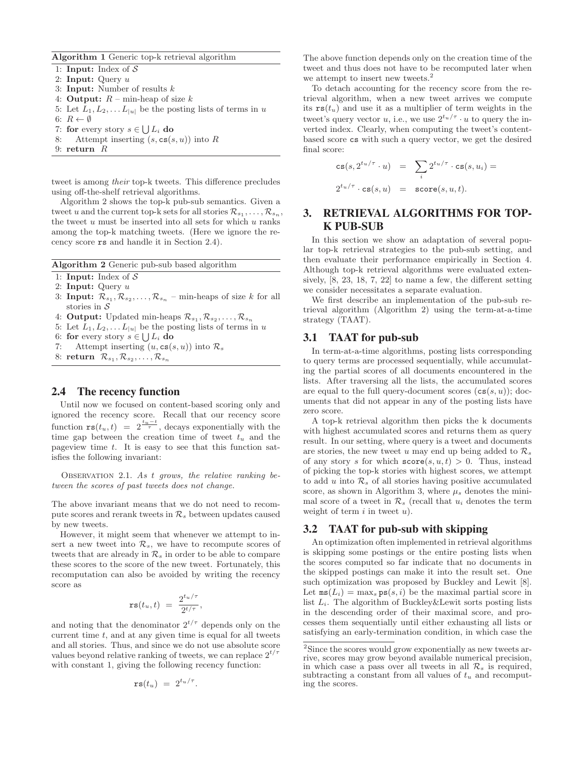**Algorithm 1** Generic top-k retrieval algorithm

1: **Input:** Index of S 2: **Input:** Query u 3: **Input:** Number of results k 4: **Output:**  $R$  – min-heap of size  $k$ 

- 5: Let  $L_1, L_2, \ldots L_{|u|}$  be the posting lists of terms in u
- 6:  $R \leftarrow \emptyset$
- 7: **for** every story  $s \in \bigcup L_i$  **do**<br>8: Attempt inserting  $(s, \text{cs}(s))$
- Attempt inserting  $(s, \text{cs}(s, u))$  into R
- 9: **return** R

tweet is among their top-k tweets. This difference precludes using off-the-shelf retrieval algorithms.

Algorithm 2 shows the top-k pub-sub semantics. Given a tweet u and the current top-k sets for all stories  $\mathcal{R}_{s_1}, \ldots, \mathcal{R}_{s_n}$ , the tweet  $u$  must be inserted into all sets for which  $u$  ranks among the top-k matching tweets. (Here we ignore the recency score rs and handle it in Section 2.4).

**Algorithm 2** Generic pub-sub based algorithm

- 1: **Input:** Index of S
- 2: **Input:** Query u
- 3: **Input:**  $\mathcal{R}_{s_1}, \mathcal{R}_{s_2}, \ldots, \mathcal{R}_{s_n}$  min-heaps of size k for all stories in  $\mathcal S$
- 4: **Output:** Updated min-heaps  $\mathcal{R}_{s_1}, \mathcal{R}_{s_2}, \ldots, \mathcal{R}_{s_n}$
- 5: Let  $L_1, L_2, \ldots L_{|u|}$  be the posting lists of terms in u
- 6: **for** every story  $s \in \bigcup L_i$  **do**<br>7: Attempt inserting  $(u, \text{cs}(s))$
- Attempt inserting  $(u, \texttt{cs}(s, u))$  into  $\mathcal{R}_s$
- 8: **return**  $\mathcal{R}_{s_1}, \mathcal{R}_{s_2}, \ldots, \mathcal{R}_{s_n}$

## 2.4 The recency function

Until now we focused on content-based scoring only and ignored the recency score. Recall that our recency score function  $\texttt{rs}(t_u, t) = 2^{\frac{t_u-t}{\tau}}$ , decays exponentially with the time gap between the creation time of tweet  $t<sub>u</sub>$  and the pageview time  $t$ . It is easy to see that this function satisfies the following invariant:

OBSERVATION 2.1. As  $t$  grows, the relative ranking between the scores of past tweets does not change.

The above invariant means that we do not need to recompute scores and rerank tweets in  $\mathcal{R}_s$  between updates caused by new tweets.

However, it might seem that whenever we attempt to insert a new tweet into  $\mathcal{R}_s$ , we have to recompute scores of tweets that are already in  $\mathcal{R}_s$  in order to be able to compare these scores to the score of the new tweet. Fortunately, this recomputation can also be avoided by writing the recency score as

$$
\mathtt{rs}(t_u,t)\ =\ \frac{2^{t_u/\tau}}{2^{t/\tau}},
$$

and noting that the denominator  $2^{t/\tau}$  depends only on the current time  $t$ , and at any given time is equal for all tweets and all stories. Thus, and since we do not use absolute score values beyond relative ranking of tweets, we can replace  $2^{t/\tau}$ with constant 1, giving the following recency function:

$$
\mathtt{rs}(t_u) = 2^{t_u/\tau}.
$$

The above function depends only on the creation time of the tweet and thus does not have to be recomputed later when we attempt to insert new tweets.<sup>2</sup>

To detach accounting for the recency score from the retrieval algorithm, when a new tweet arrives we compute its  $\text{rs}(t_u)$  and use it as a multiplier of term weights in the tweet's query vector u, i.e., we use  $2^{t_u/\tau} \cdot u$  to query the inverted index. Clearly, when computing the tweet's contentbased score cs with such a query vector, we get the desired final score:

$$
\begin{array}{rcl}\n\mathsf{cs}(s, 2^{t_u/\tau} \cdot u) & = & \sum_i 2^{t_u/\tau} \cdot \mathsf{cs}(s, u_i) = \\
2^{t_u/\tau} \cdot \mathsf{cs}(s, u) & = & \mathsf{score}(s, u, t).\n\end{array}
$$

# 3. RETRIEVAL ALGORITHMS FOR TOP-K PUB-SUB

In this section we show an adaptation of several popular top-k retrieval strategies to the pub-sub setting, and then evaluate their performance empirically in Section 4. Although top-k retrieval algorithms were evaluated extensively, [8, 23, 18, 7, 22] to name a few, the different setting we consider necessitates a separate evaluation.

We first describe an implementation of the pub-sub retrieval algorithm (Algorithm 2) using the term-at-a-time strategy (TAAT).

## 3.1 TAAT for pub-sub

In term-at-a-time algorithms, posting lists corresponding to query terms are processed sequentially, while accumulating the partial scores of all documents encountered in the lists. After traversing all the lists, the accumulated scores are equal to the full query-document scores  $(\texttt{cs}(s, u));$  documents that did not appear in any of the posting lists have zero score.

A top-k retrieval algorithm then picks the k documents with highest accumulated scores and returns them as query result. In our setting, where query is a tweet and documents are stories, the new tweet u may end up being added to  $\mathcal{R}_s$ of any story s for which  $score(s, u, t) > 0$ . Thus, instead of picking the top-k stories with highest scores, we attempt to add u into  $\mathcal{R}_s$  of all stories having positive accumulated score, as shown in Algorithm 3, where  $\mu_s$  denotes the minimal score of a tweet in  $\mathcal{R}_s$  (recall that  $u_i$  denotes the term weight of term  $i$  in tweet  $u$ ).

# 3.2 TAAT for pub-sub with skipping

An optimization often implemented in retrieval algorithms is skipping some postings or the entire posting lists when the scores computed so far indicate that no documents in the skipped postings can make it into the result set. One such optimization was proposed by Buckley and Lewit [8]. Let  $\texttt{ms}(L_i) = \max_s \texttt{ps}(s, i)$  be the maximal partial score in list  $L_i$ . The algorithm of Buckley&Lewit sorts posting lists in the descending order of their maximal score, and processes them sequentially until either exhausting all lists or satisfying an early-termination condition, in which case the

<sup>2</sup>Since the scores would grow exponentially as new tweets arrive, scores may grow beyond available numerical precision, in which case a pass over all tweets in all  $\mathcal{R}_s$  is required, subtracting a constant from all values of  $t<sub>u</sub>$  and recomputing the scores.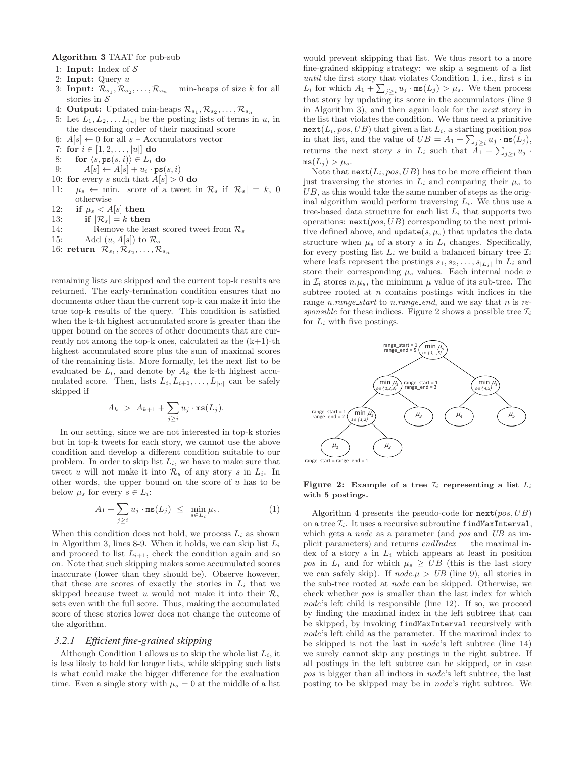**Algorithm 3** TAAT for pub-sub

- 1: **Input:** Index of S
- 2: **Input:** Query u
- 3: **Input:**  $\mathcal{R}_{s_1}, \mathcal{R}_{s_2}, \ldots, \mathcal{R}_{s_n}$  min-heaps of size k for all stories in  $\mathcal S$
- 4: **Output:** Updated min-heaps  $\mathcal{R}_{s_1}, \mathcal{R}_{s_2}, \ldots, \mathcal{R}_{s_n}$
- 5: Let  $L_1, L_2, \ldots L_{|u|}$  be the posting lists of terms in u, in the descending order of their maximal score
- 6:  $A[s] \leftarrow 0$  for all  $s$  Accumulators vector
- 7: **for**  $i \in [1, 2, \ldots, |u|]$  **do**<br>8: **for**  $\langle s, \text{ps}(s, i) \rangle \in L_i$
- 8: **for**  $\langle s, \mathbf{ps}(s, i) \rangle \in L_i$  **do**<br>9:  $A[s] \leftarrow A[s] + u_i \cdot \mathbf{ps}(s)$
- $A[s] \leftarrow A[s] + u_i \cdot \texttt{ps}(s, i)$
- 10: **for** every s such that  $A[s] > 0$  **do**
- 11:  $\mu_s \leftarrow$  min. score of a tweet in  $\mathcal{R}_s$  if  $|\mathcal{R}_s| = k$ , 0 otherwise
- 12: **if**  $\mu_s < A[s]$  then
- 13: **if**  $|\mathcal{R}_s| = k$  **then**<br>14: **Remove the lea**
- 14: Remove the least scored tweet from  $\mathcal{R}_s$ <br>15: Add  $(u, A[s])$  to  $\mathcal{R}_s$
- Add  $(u, A[s])$  to  $\mathcal{R}_s$
- 16: **return**  $\mathcal{R}_{s_1}, \mathcal{R}_{s_2}, \ldots, \mathcal{R}_{s_n}$

remaining lists are skipped and the current top-k results are returned. The early-termination condition ensures that no documents other than the current top-k can make it into the true top-k results of the query. This condition is satisfied when the k-th highest accumulated score is greater than the upper bound on the scores of other documents that are currently not among the top-k ones, calculated as the  $(k+1)$ -th highest accumulated score plus the sum of maximal scores of the remaining lists. More formally, let the next list to be evaluated be  $L_i$ , and denote by  $A_k$  the k-th highest accumulated score. Then, lists  $L_i, L_{i+1}, \ldots, L_{|u|}$  can be safely skipped if

$$
A_k > A_{k+1} + \sum_{j \geq i} u_j \cdot \texttt{ms}(L_j).
$$

In our setting, since we are not interested in top-k stories but in top-k tweets for each story, we cannot use the above condition and develop a different condition suitable to our problem. In order to skip list  $L_i$ , we have to make sure that tweet u will not make it into  $\mathcal{R}_s$  of any story s in  $L_i$ . In other words, the upper bound on the score of  $u$  has to be below  $\mu_s$  for every  $s \in L_i$ :

$$
A_1 + \sum_{j \ge i} u_j \cdot \text{ms}(L_j) \le \min_{s \in L_i} \mu_s. \tag{1}
$$

When this condition does not hold, we process  $L_i$  as shown in Algorithm 3, lines 8-9. When it holds, we can skip list  $L_i$ and proceed to list  $L_{i+1}$ , check the condition again and so on. Note that such skipping makes some accumulated scores inaccurate (lower than they should be). Observe however, that these are scores of exactly the stories in  $L_i$  that we skipped because tweet u would not make it into their  $\mathcal{R}_s$ sets even with the full score. Thus, making the accumulated score of these stories lower does not change the outcome of the algorithm.

## *3.2.1 Efficient fine-grained skipping*

Although Condition 1 allows us to skip the whole list  $L_i$ , it is less likely to hold for longer lists, while skipping such lists is what could make the bigger difference for the evaluation time. Even a single story with  $\mu_s = 0$  at the middle of a list

would prevent skipping that list. We thus resort to a more fine-grained skipping strategy: we skip a segment of a list until the first story that violates Condition 1, i.e., first  $s$  in  $L_i$  for which  $A_1 + \sum_{j\geq i} u_j \cdot \text{ms}(L_j) > \mu_s$ . We then process that story by updating its score in the accumulators (line 9 in Algorithm 3), and then again look for the next story in the list that violates the condition. We thus need a primitive  $next(L_i, pos, UB)$  that given a list  $L_i$ , a starting position pos in that list, and the value of  $UB = A_1 + \sum_{j\geq i} u_j \cdot \texttt{ms}(\hat{L}_j)$ , returns the next story s in  $L_i$  such that  $A_1 + \sum_{j\geq i} u_j$ .  $ms(L_i) > \mu_s$ .

Note that  $\texttt{next}(L_i, pos, UB)$  has to be more efficient than just traversing the stories in  $L_i$  and comparing their  $\mu_s$  to  $UB$ , as this would take the same number of steps as the original algorithm would perform traversing  $L_i$ . We thus use a tree-based data structure for each list  $L_i$  that supports two operations:  $next(pos, UB)$  corresponding to the next primitive defined above, and  $update(s, \mu_s)$  that updates the data structure when  $\mu_s$  of a story s in  $L_i$  changes. Specifically, for every posting list  $L_i$  we build a balanced binary tree  $\mathcal{I}_i$ where leafs represent the postings  $s_1, s_2, \ldots, s_{|L_i|}$  in  $L_i$  and store their corresponding  $\mu_s$  values. Each internal node n in  $\mathcal{I}_i$  stores  $n.\mu_s$ , the minimum  $\mu$  value of its sub-tree. The subtree rooted at n contains postings with indices in the range *n.range\_start* to *n.range\_end*, and we say that *n* is responsible for these indices. Figure 2 shows a possible tree  $\mathcal{I}_i$ for  $L_i$  with five postings.



#### **Figure 2: Example of a tree**  $\mathcal{I}_i$  **representing a list**  $L_i$ **with 5 postings.**

Algorithm 4 presents the pseudo-code for  $next(pos, UB)$ on a tree  $\mathcal{I}_i$ . It uses a recursive subroutine findMaxInterval, which gets a *node* as a parameter (and *pos* and *UB* as implicit parameters) and returns  $endIndex$  — the maximal index of a story  $s$  in  $L_i$  which appears at least in position pos in  $L_i$  and for which  $\mu_s \geq UB$  (this is the last story we can safely skip). If  $node.\mu > UB$  (line 9), all stories in the sub-tree rooted at node can be skipped. Otherwise, we check whether pos is smaller than the last index for which node's left child is responsible (line 12). If so, we proceed by finding the maximal index in the left subtree that can be skipped, by invoking findMaxInterval recursively with node's left child as the parameter. If the maximal index to be skipped is not the last in node's left subtree (line 14) we surely cannot skip any postings in the right subtree. If all postings in the left subtree can be skipped, or in case pos is bigger than all indices in node's left subtree, the last posting to be skipped may be in node's right subtree. We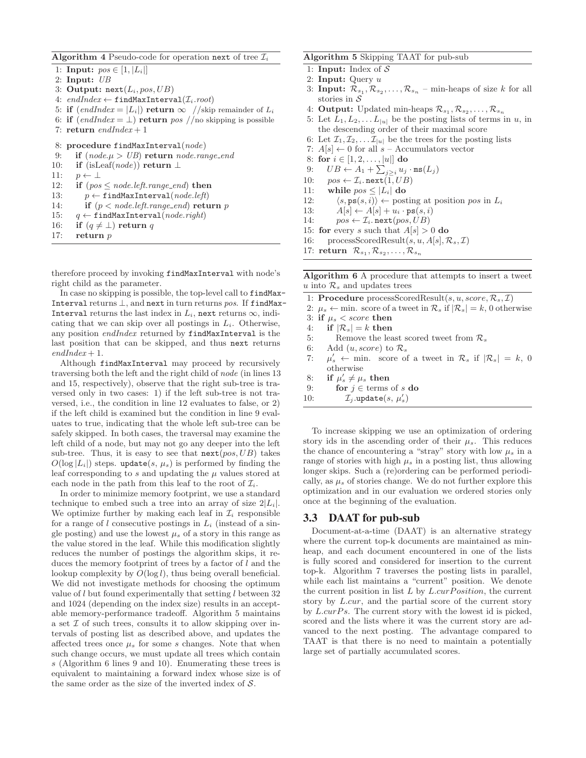**Algorithm 4** Pseudo-code for operation next of tree  $\mathcal{I}_i$ 

```
1: Input: pos \in [1, |L_i|]2: Input: UB
3: Output: next(L_i, pos, UB)4: endIndex ← findMaxInterval(\mathcal{I}_i.root)
5: if (\text{endIndex} = |L_i|) return \infty //skip remainder of L_i
```
- 6: **if**  $(\text{endIndex} = \bot)$  **return** pos //no skipping is possible
- 7: **return** endIndex + 1

```
8: procedure findMaxInterval(node)
```
- 9: **if**  $(node.\mu > UB)$  **return** node.range\_end
- 10: **if** (isLeaf(*node*)) **return**  $\perp$ <br>11:  $p \leftarrow \perp$

```
11: p \leftarrow \perp<br>12: if (pos
```
- 12: **if**  $(ps \leq node.left.random_{end})$  **then**<br>13:  $p \leftarrow \text{findMaxInterval}(node.left)$
- 13:  $p \leftarrow \text{findMaxInterval}(node.left)$ <br>14: **if**  $(p < node.left.random]$ **retu**
- if  $(p < node.left.random$  (p is node.left.range\_end) **return** p
- 15:  $q \leftarrow \text{findMaxInterval}(node.right)$ <br>16: if  $(q \neq \bot)$  return q
- 16: **if**  $(q \neq \bot)$  **return** q<br>17: **return** p
- return *p*

therefore proceed by invoking findMaxInterval with node's right child as the parameter.

In case no skipping is possible, the top-level call to findMax-Interval returns  $\perp$ , and next in turn returns pos. If findMax-Interval returns the last index in  $L_i$ , next returns  $\infty$ , indicating that we can skip over all postings in  $L_i$ . Otherwise, any position endIndex returned by findMaxInterval is the last position that can be skipped, and thus next returns  $endIndex + 1$ .

Although findMaxInterval may proceed by recursively traversing both the left and the right child of node (in lines 13 and 15, respectively), observe that the right sub-tree is traversed only in two cases: 1) if the left sub-tree is not traversed, i.e., the condition in line 12 evaluates to false, or 2) if the left child is examined but the condition in line 9 evaluates to true, indicating that the whole left sub-tree can be safely skipped. In both cases, the traversal may examine the left child of a node, but may not go any deeper into the left sub-tree. Thus, it is easy to see that  $next(pos, UB)$  takes  $O(\log |L_i|)$  steps. update $(s, \mu_s)$  is performed by finding the leaf corresponding to s and updating the  $\mu$  values stored at each node in the path from this leaf to the root of  $\mathcal{I}_i$ .

In order to minimize memory footprint, we use a standard technique to embed such a tree into an array of size  $2|L_i|$ . We optimize further by making each leaf in  $\mathcal{I}_i$  responsible for a range of l consecutive postings in  $L_i$  (instead of a single posting) and use the lowest  $\mu_s$  of a story in this range as the value stored in the leaf. While this modification slightly reduces the number of postings the algorithm skips, it reduces the memory footprint of trees by a factor of l and the lookup complexity by  $O(\log l)$ , thus being overall beneficial. We did not investigate methods for choosing the optimum value of  $l$  but found experimentally that setting  $l$  between 32 and 1024 (depending on the index size) results in an acceptable memory-performance tradeoff. Algorithm 5 maintains a set  $\mathcal I$  of such trees, consults it to allow skipping over intervals of posting list as described above, and updates the affected trees once  $\mu_s$  for some s changes. Note that when such change occurs, we must update all trees which contain s (Algorithm 6 lines 9 and 10). Enumerating these trees is equivalent to maintaining a forward index whose size is of the same order as the size of the inverted index of  $S$ .

#### **Algorithm 5** Skipping TAAT for pub-sub

- 1: **Input:** Index of S
- 2: **Input:** Query u
- 3: **Input:**  $\mathcal{R}_{s_1}, \mathcal{R}_{s_2}, \ldots, \mathcal{R}_{s_n}$  min-heaps of size k for all stories in  $\mathcal S$
- 4: **Output:** Updated min-heaps  $\mathcal{R}_{s_1}, \mathcal{R}_{s_2}, \ldots, \mathcal{R}_{s_n}$
- 5: Let  $L_1, L_2, \ldots L_{|u|}$  be the posting lists of terms in u, in the descending order of their maximal score
- 6: Let  $\mathcal{I}_1, \mathcal{I}_2, \ldots \mathcal{I}_{|u|}$  be the trees for the posting lists
- 7:  $A[s] \leftarrow 0$  for all  $s$  Accumulators vector
- 8: **for**  $i \in [1, 2, ..., |u|]$  **do**<br>9:  $UB \leftarrow A_1 + \sum_{i > i} u_i$
- 9:  $UB \leftarrow A_1 + \sum_{j\geq i} u_j \cdot \texttt{ms}(L_j)$
- 10:  $pos \leftarrow \mathcal{I}_i$ . next $(\overline{1},UB)$ <br>11: while  $pos \leq |L_i|$  do
- 11: **while**  $pos \leq |L_i|$  **do**<br>12:  $\langle s, ps(s, i) \rangle \leftarrow pos$
- 12:  $\langle s, \mathbf{ps}(s, i) \rangle \leftarrow \text{posting at position } pos \text{ in } L_i$ <br>13:  $A[s] \leftarrow A[s] + u_i \cdot \mathbf{ps}(s, i)$
- 13:  $A[s] \leftarrow A[s] + u_i \cdot \text{ps}(s, i)$ <br>14:  $pos \leftarrow \mathcal{I}_i$ . next(pos, UB)
- $pos \leftarrow \mathcal{I}_i$ . next $(pos, UB)$
- 15: **for** every s such that  $A[s] > 0$  **do**
- 16: processScoredResult $(s, u, A[s], \mathcal{R}_s, \mathcal{I})$
- 17: **return**  $\mathcal{R}_{s_1}, \mathcal{R}_{s_2}, \ldots, \mathcal{R}_{s_n}$

**Algorithm 6** A procedure that attempts to insert a tweet u into  $\mathcal{R}_s$  and updates trees

- 1: **Procedure** processScoredResult $(s, u, score, \mathcal{R}_s, \mathcal{I})$
- 2:  $\mu_s \leftarrow$  min. score of a tweet in  $\mathcal{R}_s$  if  $|\mathcal{R}_s| = k$ , 0 otherwise
- 3: **if**  $\mu_s <$  score **then**
- 4: **if**  $|\mathcal{R}_s| = k$  **then**<br>5: Remove the lea
- 5: Remove the least scored tweet from  $\mathcal{R}_s$ <br>6: Add  $(u, score)$  to  $\mathcal{R}_s$
- 6: Add  $(u, score)$  to  $\mathcal{R}_s$ <br>7:  $\mu'_s \leftarrow \min$ . score of
- 7:  $\mu'_{s} \leftarrow \text{min.}$  score of a tweet in  $\mathcal{R}_{s}$  if  $|\mathcal{R}_{s}| = k, 0$ otherwise
- 8: **if**  $\mu_s' \neq \mu_s$  then
- 9: **for**  $j \in \text{terms of } s \textbf{ do}$ <br>10:  $\mathcal{I}_j.\text{update}(s, \mu'_s)$
- 10:  $\mathcal{I}_j$ .update $(s, \mu'_s)$

To increase skipping we use an optimization of ordering story ids in the ascending order of their  $\mu_s$ . This reduces the chance of encountering a "stray" story with low  $\mu_s$  in a range of stories with high  $\mu_s$  in a posting list, thus allowing longer skips. Such a (re)ordering can be performed periodically, as  $\mu_s$  of stories change. We do not further explore this optimization and in our evaluation we ordered stories only once at the beginning of the evaluation.

#### 3.3 DAAT for pub-sub

Document-at-a-time (DAAT) is an alternative strategy where the current top-k documents are maintained as minheap, and each document encountered in one of the lists is fully scored and considered for insertion to the current top-k. Algorithm 7 traverses the posting lists in parallel, while each list maintains a "current" position. We denote the current position in list  $L$  by  $L.curPosition$ , the current story by L.cur, and the partial score of the current story by  $L.curPs$ . The current story with the lowest id is picked, scored and the lists where it was the current story are advanced to the next posting. The advantage compared to TAAT is that there is no need to maintain a potentially large set of partially accumulated scores.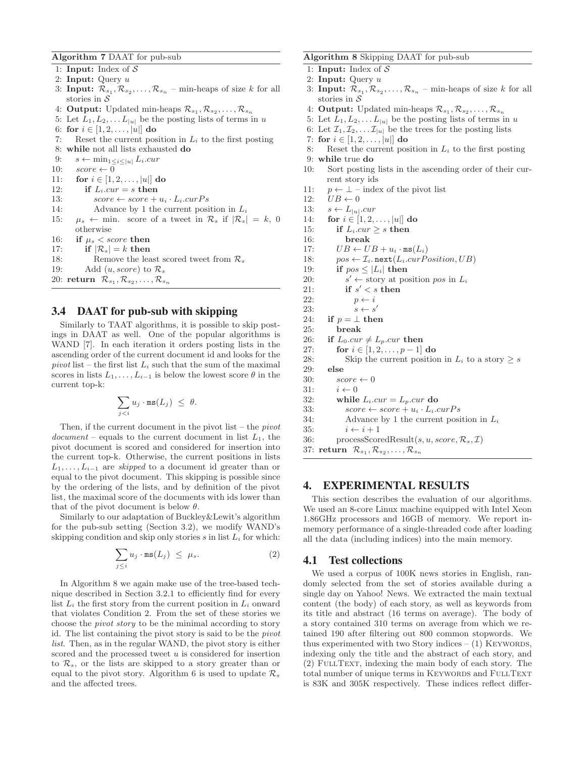**Algorithm 7** DAAT for pub-sub

- 1: **Input:** Index of S
- 2: **Input:** Query u
- 3: **Input:**  $\mathcal{R}_{s_1}, \mathcal{R}_{s_2}, \ldots, \mathcal{R}_{s_n}$  min-heaps of size k for all stories in  $\mathcal S$
- 4: **Output:** Updated min-heaps  $\mathcal{R}_{s_1}, \mathcal{R}_{s_2}, \ldots, \mathcal{R}_{s_n}$
- 5: Let  $L_1, L_2, \ldots L_{|u|}$  be the posting lists of terms in u
- 6: **for**  $i \in [1, 2, ..., |u|]$  **do**<br>7: Reset the current pos
- Reset the current position in  $L_i$  to the first posting
- 8: **while** not all lists exhausted **do**
- 9:  $s \leftarrow \min_{1 \leq i \leq |u|} L_i.cur$ <br>10:  $score \leftarrow 0$
- 10:  $score \leftarrow 0$ <br>11: **for**  $i \in [1,$
- 11: **for**  $i \in [1, 2, ..., |u|]$  **do**<br>12: **if**  $L_i.cur = s$  **then**
- if  $L_i.cur = s$  then
- 13:  $score \leftarrow score + u_i \cdot L_i.curPs$ <br>14: Advance by 1 the current posi
- Advance by 1 the current position in  $L_i$
- 15:  $\mu_s \leftarrow \text{min. score of a tweet in } \mathcal{R}_s \text{ if } |\mathcal{R}_s| = k, 0$ otherwise 16: **if**  $\mu_s <$  score **then**
- 
- 17: **if**  $|\mathcal{R}_s| = k$  **then**<br>18: Remove the lea
- 18: Remove the least scored tweet from  $\mathcal{R}_s$ <br>19: Add (*u. score*) to  $\mathcal{R}_s$ Add  $(u, score)$  to  $\mathcal{R}_s$
- 20: **return**  $\mathcal{R}_{s_1}, \mathcal{R}_{s_2}, \ldots, \mathcal{R}_{s_n}$

# 3.4 DAAT for pub-sub with skipping

Similarly to TAAT algorithms, it is possible to skip postings in DAAT as well. One of the popular algorithms is WAND [7]. In each iteration it orders posting lists in the ascending order of the current document id and looks for the pivot list – the first list  $L_i$  such that the sum of the maximal scores in lists  $L_1, \ldots, L_{i-1}$  is below the lowest score  $\theta$  in the current top-k:

$$
\sum_{j
$$

Then, if the current document in the pivot list – the  $pivot$  $document$  – equals to the current document in list  $L_1$ , the pivot document is scored and considered for insertion into the current top-k. Otherwise, the current positions in lists  $L_1, \ldots, L_{i-1}$  are *skipped* to a document id greater than or equal to the pivot document. This skipping is possible since by the ordering of the lists, and by definition of the pivot list, the maximal score of the documents with ids lower than that of the pivot document is below  $\theta$ .

Similarly to our adaptation of Buckley&Lewit's algorithm for the pub-sub setting (Section 3.2), we modify WAND's skipping condition and skip only stories  $s$  in list  $L_i$  for which:

$$
\sum_{j\leq i} u_j \cdot \mathtt{ms}(L_j) \ \leq \ \mu_s. \tag{2}
$$

In Algorithm 8 we again make use of the tree-based technique described in Section 3.2.1 to efficiently find for every list  $L_i$  the first story from the current position in  $L_i$  onward that violates Condition 2. From the set of these stories we choose the pivot story to be the minimal according to story id. The list containing the pivot story is said to be the pivot list. Then, as in the regular WAND, the pivot story is either scored and the processed tweet  $u$  is considered for insertion to  $\mathcal{R}_s$ , or the lists are skipped to a story greater than or equal to the pivot story. Algorithm 6 is used to update  $\mathcal{R}_s$ and the affected trees.

#### **Algorithm 8** Skipping DAAT for pub-sub

- 1: **Input:** Index of S
- 2: **Input:** Query u
- 3: **Input:**  $\mathcal{R}_{s_1}, \mathcal{R}_{s_2}, \ldots, \mathcal{R}_{s_n}$  min-heaps of size k for all stories in  $S$
- 4: **Output:** Updated min-heaps  $\mathcal{R}_{s_1}, \mathcal{R}_{s_2}, \ldots, \mathcal{R}_{s_n}$
- 5: Let  $L_1, L_2, \ldots L_{|u|}$  be the posting lists of terms in u
- 6: Let  $\mathcal{I}_1, \mathcal{I}_2, \ldots \mathcal{I}_{|u|}$  be the trees for the posting lists
- 7: **for**  $i \in [1, 2, \ldots, |u|]$  **do**<br>8: Reset the current pos
- Reset the current position in  $L_i$  to the first posting 9: **while** true **do**
- 10: Sort posting lists in the ascending order of their current story ids
- 11:  $p \leftarrow \perp$  index of the pivot list<br>12:  $UB \leftarrow 0$
- 12:  $UB \leftarrow 0$ <br>13:  $s \leftarrow L_{\text{tot}}$
- 
- 13:  $s \leftarrow L_{|u|}.cur$ <br>14: for  $i \in [1, 2, ...)$ 14: **for**  $i \in [1, 2, \ldots, |u|]$  **do**<br>15: **if**  $L_i.cur > s$  **then**
- 15: **if**  $L_i.cur \geq s$  **then**<br>16: **break**
- 16: **break**
- 
- 17:  $UB \leftarrow UB + u_i \cdot ms(L_i)$ <br>18:  $pos \leftarrow \mathcal{I}_i.next(L_i.curP_i)$ 18:  $pos \leftarrow \mathcal{I}_i.next(L_i.curPosition, UB)$ <br>19: **if**  $pos < |L_i|$  **then** 
	-
- 19: **if**  $pos \leq |L_i|$  **then**<br>20:  $s' \leftarrow$  story at po 20:  $s' \leftarrow \text{story at position } pos \text{ in } L_i$ <br>21: **if**  $s' < s$  **then** 
	- if  $s' < s$  then
- 22:  $p \leftarrow i$ <br>23:  $s \leftarrow s'$
- 
- 23:<br>24: if  $p = \perp$  the 24: **if**  $p = \perp$  **then**<br>25: **break**
- 25: **break**
- 26: **if**  $L_0.cur \neq L_p.cur$  **then**<br>27: **for**  $i \in [1, 2, ..., p-1]$
- 27: **for**  $i \in [1, 2, ..., p-1]$  **do**<br>28: **Skip the current position**
- 28: Skip the current position in  $L_i$  to a story  $\geq s$ <br>29: else

```
29: else
```
- 30:  $score \leftarrow 0$ <br>31:  $i \leftarrow 0$
- 31:  $i \leftarrow 0$ <br>32: while
- while  $L_i.cur = L_p.cur$  do
- 33:  $score \leftarrow score + u_i \cdot L_i.curPs$ <br>34: Advance by 1 the current posi
- Advance by 1 the current position in  $L_i$
- 35:  $i \leftarrow i + 1$ <br>36: processScor
- $processScoredResult(s, u, score, R_s, \mathcal{I})$
- 37: **return**  $\mathcal{R}_{s_1}, \mathcal{R}_{s_2}, \dots, \mathcal{R}_{s_n}$

## 4. EXPERIMENTAL RESULTS

This section describes the evaluation of our algorithms. We used an 8-core Linux machine equipped with Intel Xeon 1.86GHz processors and 16GB of memory. We report inmemory performance of a single-threaded code after loading all the data (including indices) into the main memory.

## 4.1 Test collections

We used a corpus of 100K news stories in English, randomly selected from the set of stories available during a single day on Yahoo! News. We extracted the main textual content (the body) of each story, as well as keywords from its title and abstract (16 terms on average). The body of a story contained 310 terms on average from which we retained 190 after filtering out 800 common stopwords. We thus experimented with two Story indices  $- (1)$  KEYWORDS, indexing only the title and the abstract of each story, and (2) FullText, indexing the main body of each story. The total number of unique terms in KEYWORDS and FULLTEXT is 83K and 305K respectively. These indices reflect differ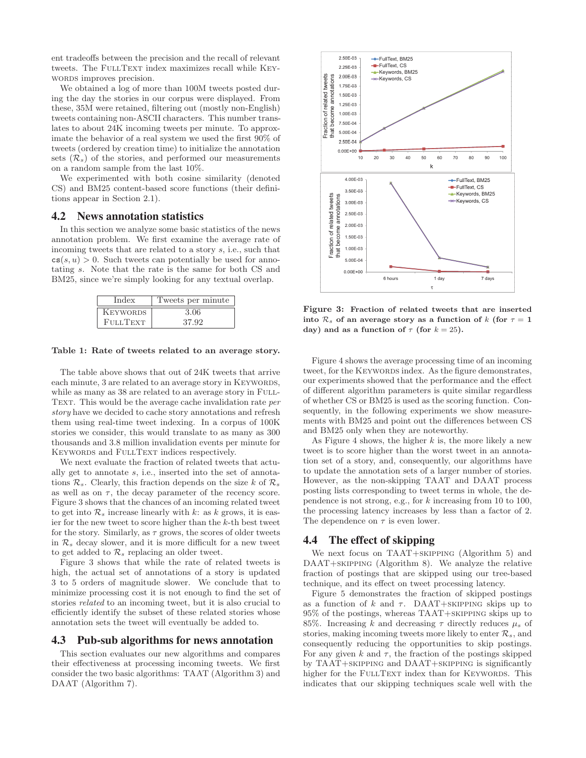ent tradeoffs between the precision and the recall of relevant tweets. The FULLTEXT index maximizes recall while KEYwords improves precision.

We obtained a log of more than 100M tweets posted during the day the stories in our corpus were displayed. From these, 35M were retained, filtering out (mostly non-English) tweets containing non-ASCII characters. This number translates to about 24K incoming tweets per minute. To approximate the behavior of a real system we used the first 90% of tweets (ordered by creation time) to initialize the annotation sets  $(\mathcal{R}_s)$  of the stories, and performed our measurements on a random sample from the last 10%.

We experimented with both cosine similarity (denoted CS) and BM25 content-based score functions (their definitions appear in Section 2.1).

# 4.2 News annotation statistics

In this section we analyze some basic statistics of the news annotation problem. We first examine the average rate of incoming tweets that are related to a story s, i.e., such that  $cs(s, u) > 0$ . Such tweets can potentially be used for annotating s. Note that the rate is the same for both CS and BM25, since we're simply looking for any textual overlap.

| Index           | Tweets per minute |
|-----------------|-------------------|
| <b>KEYWORDS</b> | 3.06              |
| <b>FULLTEXT</b> | 37.92             |

#### **Table 1: Rate of tweets related to an average story.**

The table above shows that out of 24K tweets that arrive each minute, 3 are related to an average story in KEYWORDS, while as many as 38 are related to an average story in FULL-TEXT. This would be the average cache invalidation rate per story have we decided to cache story annotations and refresh them using real-time tweet indexing. In a corpus of 100K stories we consider, this would translate to as many as 300 thousands and 3.8 million invalidation events per minute for KEYWORDS and FULLTEXT indices respectively.

We next evaluate the fraction of related tweets that actually get to annotate s, i.e., inserted into the set of annotations  $\mathcal{R}_s$ . Clearly, this fraction depends on the size k of  $\mathcal{R}_s$ as well as on  $\tau$ , the decay parameter of the recency score. Figure 3 shows that the chances of an incoming related tweet to get into  $\mathcal{R}_s$  increase linearly with k: as k grows, it is easier for the new tweet to score higher than the k-th best tweet for the story. Similarly, as  $\tau$  grows, the scores of older tweets in  $\mathcal{R}_s$  decay slower, and it is more difficult for a new tweet to get added to  $\mathcal{R}_s$  replacing an older tweet.

Figure 3 shows that while the rate of related tweets is high, the actual set of annotations of a story is updated 3 to 5 orders of magnitude slower. We conclude that to minimize processing cost it is not enough to find the set of stories related to an incoming tweet, but it is also crucial to efficiently identify the subset of these related stories whose annotation sets the tweet will eventually be added to.

#### 4.3 Pub-sub algorithms for news annotation

This section evaluates our new algorithms and compares their effectiveness at processing incoming tweets. We first consider the two basic algorithms: TAAT (Algorithm 3) and DAAT (Algorithm 7).



**Figure 3: Fraction of related tweets that are inserted into**  $\mathcal{R}_s$  of an average story as a function of k (for  $\tau = 1$ ) **day)** and as a function of  $\tau$  (for  $k = 25$ ).

Figure 4 shows the average processing time of an incoming tweet, for the KEYWORDS index. As the figure demonstrates, our experiments showed that the performance and the effect of different algorithm parameters is quite similar regardless of whether CS or BM25 is used as the scoring function. Consequently, in the following experiments we show measurements with BM25 and point out the differences between CS and BM25 only when they are noteworthy.

As Figure 4 shows, the higher  $k$  is, the more likely a new tweet is to score higher than the worst tweet in an annotation set of a story, and, consequently, our algorithms have to update the annotation sets of a larger number of stories. However, as the non-skipping TAAT and DAAT process posting lists corresponding to tweet terms in whole, the dependence is not strong, e.g., for  $k$  increasing from 10 to 100, the processing latency increases by less than a factor of 2. The dependence on  $\tau$  is even lower.

### 4.4 The effect of skipping

We next focus on TAAT+SKIPPING (Algorithm 5) and DAAT+skipping (Algorithm 8). We analyze the relative fraction of postings that are skipped using our tree-based technique, and its effect on tweet processing latency.

Figure 5 demonstrates the fraction of skipped postings as a function of k and  $\tau$ . DAAT+SKIPPING skips up to 95% of the postings, whereas TAAT+skipping skips up to 85%. Increasing k and decreasing  $\tau$  directly reduces  $\mu_s$  of stories, making incoming tweets more likely to enter  $\mathcal{R}_s$ , and consequently reducing the opportunities to skip postings. For any given k and  $\tau$ , the fraction of the postings skipped by TAAT+skipping and DAAT+skipping is significantly higher for the FULLTEXT index than for KEYWORDS. This indicates that our skipping techniques scale well with the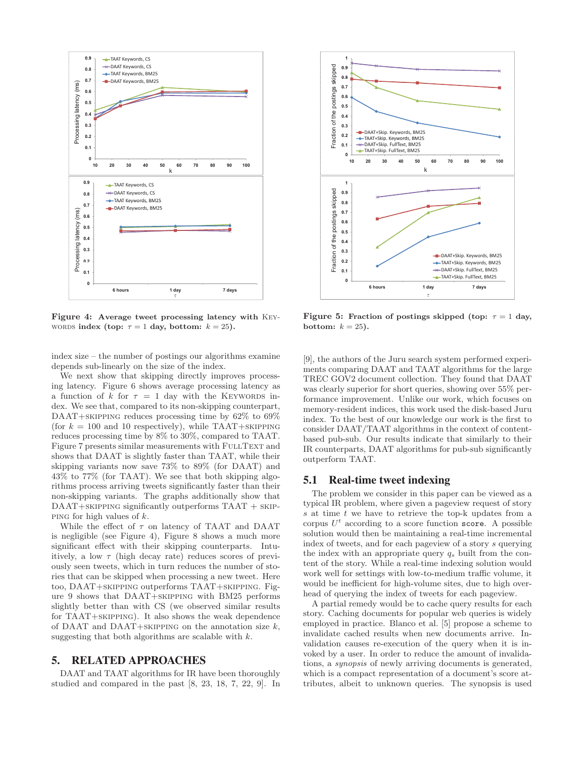

**Figure 4: Average tweet processing latency with** Key-WORDS **index** (top:  $\tau = 1$  day, bottom:  $k = 25$ ).

index size – the number of postings our algorithms examine depends sub-linearly on the size of the index.

We next show that skipping directly improves processing latency. Figure 6 shows average processing latency as a function of k for  $\tau = 1$  day with the KEYWORDS index. We see that, compared to its non-skipping counterpart, DAAT+skipping reduces processing time by 62% to 69% (for  $k = 100$  and 10 respectively), while TAAT+SKIPPING reduces processing time by 8% to 30%, compared to TAAT. Figure 7 presents similar measurements with FULLTEXT and shows that DAAT is slightly faster than TAAT, while their skipping variants now save 73% to 89% (for DAAT) and 43% to 77% (for TAAT). We see that both skipping algorithms process arriving tweets significantly faster than their non-skipping variants. The graphs additionally show that DAAT+skipping significantly outperforms TAAT + skip-PING for high values of  $k$ .

While the effect of  $\tau$  on latency of TAAT and DAAT is negligible (see Figure 4), Figure 8 shows a much more significant effect with their skipping counterparts. Intuitively, a low  $\tau$  (high decay rate) reduces scores of previously seen tweets, which in turn reduces the number of stories that can be skipped when processing a new tweet. Here too, DAAT+skipping outperforms TAAT+skipping. Figure 9 shows that DAAT+skipping with BM25 performs slightly better than with CS (we observed similar results for TAAT+skipping). It also shows the weak dependence of DAAT and DAAT+SKIPPING on the annotation size  $k$ , suggesting that both algorithms are scalable with  $k$ .

# 5. RELATED APPROACHES

DAAT and TAAT algorithms for IR have been thoroughly studied and compared in the past [8, 23, 18, 7, 22, 9]. In



**Figure 5:** Fraction of postings skipped (top:  $\tau = 1$  day, **bottom:**  $k = 25$ **).** 

[9], the authors of the Juru search system performed experiments comparing DAAT and TAAT algorithms for the large TREC GOV2 document collection. They found that DAAT was clearly superior for short queries, showing over 55% performance improvement. Unlike our work, which focuses on memory-resident indices, this work used the disk-based Juru index. To the best of our knowledge our work is the first to consider DAAT/TAAT algorithms in the context of contentbased pub-sub. Our results indicate that similarly to their IR counterparts, DAAT algorithms for pub-sub significantly outperform TAAT.

# 5.1 Real-time tweet indexing

The problem we consider in this paper can be viewed as a typical IR problem, where given a pageview request of story s at time t we have to retrieve the top-k updates from a corpus  $U^t$  according to a score function score. A possible solution would then be maintaining a real-time incremental index of tweets, and for each pageview of a story s querying the index with an appropriate query  $q_s$  built from the content of the story. While a real-time indexing solution would work well for settings with low-to-medium traffic volume, it would be inefficient for high-volume sites, due to high overhead of querying the index of tweets for each pageview.

A partial remedy would be to cache query results for each story. Caching documents for popular web queries is widely employed in practice. Blanco et al. [5] propose a scheme to invalidate cached results when new documents arrive. Invalidation causes re-execution of the query when it is invoked by a user. In order to reduce the amount of invalidations, a synopsis of newly arriving documents is generated, which is a compact representation of a document's score attributes, albeit to unknown queries. The synopsis is used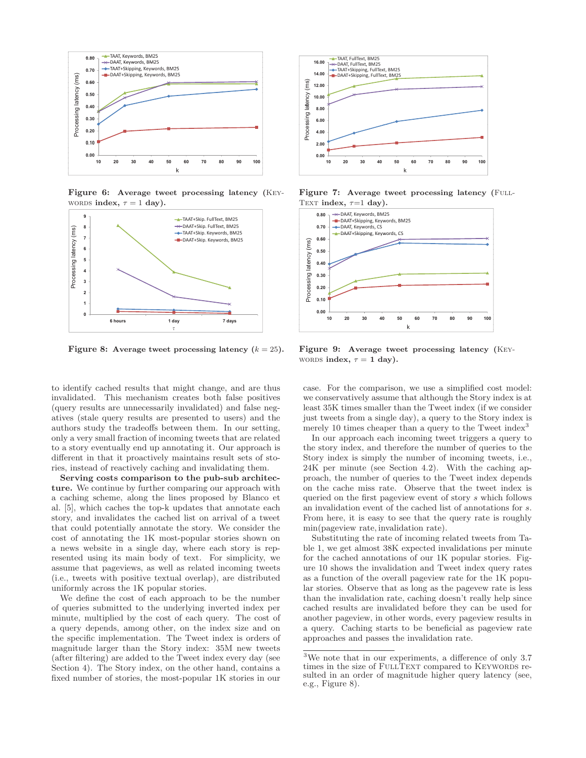

**Figure 6: Average tweet processing latency (**Keywords **index**,  $\tau = 1$  **day**).



**Figure 8:** Average tweet processing latency  $(k = 25)$ .

to identify cached results that might change, and are thus invalidated. This mechanism creates both false positives (query results are unnecessarily invalidated) and false negatives (stale query results are presented to users) and the authors study the tradeoffs between them. In our setting, only a very small fraction of incoming tweets that are related to a story eventually end up annotating it. Our approach is different in that it proactively maintains result sets of stories, instead of reactively caching and invalidating them.

**Serving costs comparison to the pub-sub architecture.** We continue by further comparing our approach with a caching scheme, along the lines proposed by Blanco et al. [5], which caches the top-k updates that annotate each story, and invalidates the cached list on arrival of a tweet that could potentially annotate the story. We consider the cost of annotating the 1K most-popular stories shown on a news website in a single day, where each story is represented using its main body of text. For simplicity, we assume that pageviews, as well as related incoming tweets (i.e., tweets with positive textual overlap), are distributed uniformly across the 1K popular stories.

We define the cost of each approach to be the number of queries submitted to the underlying inverted index per minute, multiplied by the cost of each query. The cost of a query depends, among other, on the index size and on the specific implementation. The Tweet index is orders of magnitude larger than the Story index: 35M new tweets (after filtering) are added to the Tweet index every day (see Section 4). The Story index, on the other hand, contains a fixed number of stories, the most-popular 1K stories in our



Figure 7: Average tweet processing latency (FULL-TEXT **index**,  $\tau=1$  **day**).



**Figure 9: Average tweet processing latency (**Keywords **index**,  $\tau = 1$  day).

case. For the comparison, we use a simplified cost model: we conservatively assume that although the Story index is at least 35K times smaller than the Tweet index (if we consider just tweets from a single day), a query to the Story index is merely 10 times cheaper than a query to the Tweet index<sup>3</sup>

In our approach each incoming tweet triggers a query to the story index, and therefore the number of queries to the Story index is simply the number of incoming tweets, i.e., 24K per minute (see Section 4.2). With the caching approach, the number of queries to the Tweet index depends on the cache miss rate. Observe that the tweet index is queried on the first pageview event of story s which follows an invalidation event of the cached list of annotations for s. From here, it is easy to see that the query rate is roughly min(pageview rate, invalidation rate).

Substituting the rate of incoming related tweets from Table 1, we get almost 38K expected invalidations per minute for the cached annotations of our 1K popular stories. Figure 10 shows the invalidation and Tweet index query rates as a function of the overall pageview rate for the 1K popular stories. Observe that as long as the pagevew rate is less than the invalidation rate, caching doesn't really help since cached results are invalidated before they can be used for another pageview, in other words, every pageview results in a query. Caching starts to be beneficial as pageview rate approaches and passes the invalidation rate.

<sup>&</sup>lt;sup>3</sup>We note that in our experiments, a difference of only  $3.7$ times in the size of FULLTEXT compared to KEYWORDS resulted in an order of magnitude higher query latency (see, e.g., Figure 8).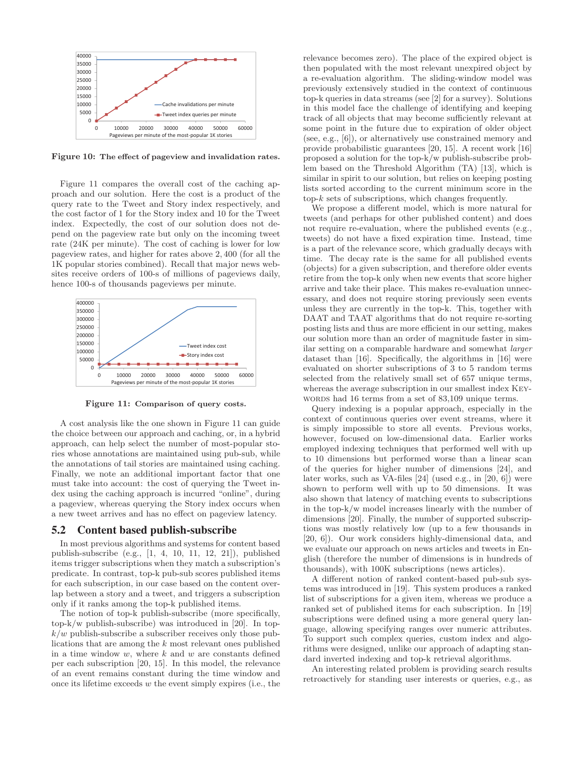

**Figure 10: The effect of pageview and invalidation rates.**

Figure 11 compares the overall cost of the caching approach and our solution. Here the cost is a product of the query rate to the Tweet and Story index respectively, and the cost factor of 1 for the Story index and 10 for the Tweet index. Expectedly, the cost of our solution does not depend on the pageview rate but only on the incoming tweet rate (24K per minute). The cost of caching is lower for low pageview rates, and higher for rates above 2, 400 (for all the 1K popular stories combined). Recall that major news websites receive orders of 100-s of millions of pageviews daily, hence 100-s of thousands pageviews per minute.



**Figure 11: Comparison of query costs.**

A cost analysis like the one shown in Figure 11 can guide the choice between our approach and caching, or, in a hybrid approach, can help select the number of most-popular stories whose annotations are maintained using pub-sub, while the annotations of tail stories are maintained using caching. Finally, we note an additional important factor that one must take into account: the cost of querying the Tweet index using the caching approach is incurred "online", during a pageview, whereas querying the Story index occurs when a new tweet arrives and has no effect on pageview latency.

## 5.2 Content based publish-subscribe

In most previous algorithms and systems for content based publish-subscribe (e.g., [1, 4, 10, 11, 12, 21]), published items trigger subscriptions when they match a subscription's predicate. In contrast, top-k pub-sub scores published items for each subscription, in our case based on the content overlap between a story and a tweet, and triggers a subscription only if it ranks among the top-k published items.

The notion of top-k publish-subscribe (more specifically, top-k/w publish-subscribe) was introduced in [20]. In top $k/w$  publish-subscribe a subscriber receives only those publications that are among the k most relevant ones published in a time window  $w$ , where  $k$  and  $w$  are constants defined per each subscription [20, 15]. In this model, the relevance of an event remains constant during the time window and once its lifetime exceeds  $w$  the event simply expires (i.e., the relevance becomes zero). The place of the expired object is then populated with the most relevant unexpired object by a re-evaluation algorithm. The sliding-window model was previously extensively studied in the context of continuous top-k queries in data streams (see [2] for a survey). Solutions in this model face the challenge of identifying and keeping track of all objects that may become sufficiently relevant at some point in the future due to expiration of older object (see, e.g., [6]), or alternatively use constrained memory and provide probabilistic guarantees [20, 15]. A recent work [16] proposed a solution for the top-k/w publish-subscribe problem based on the Threshold Algorithm (TA) [13], which is similar in spirit to our solution, but relies on keeping posting lists sorted according to the current minimum score in the top-k sets of subscriptions, which changes frequently.

We propose a different model, which is more natural for tweets (and perhaps for other published content) and does not require re-evaluation, where the published events (e.g., tweets) do not have a fixed expiration time. Instead, time is a part of the relevance score, which gradually decays with time. The decay rate is the same for all published events (objects) for a given subscription, and therefore older events retire from the top-k only when new events that score higher arrive and take their place. This makes re-evaluation unnecessary, and does not require storing previously seen events unless they are currently in the top-k. This, together with DAAT and TAAT algorithms that do not require re-sorting posting lists and thus are more efficient in our setting, makes our solution more than an order of magnitude faster in similar setting on a comparable hardware and somewhat larger dataset than [16]. Specifically, the algorithms in [16] were evaluated on shorter subscriptions of 3 to 5 random terms selected from the relatively small set of 657 unique terms, whereas the average subscription in our smallest index Keywords had 16 terms from a set of 83,109 unique terms.

Query indexing is a popular approach, especially in the context of continuous queries over event streams, where it is simply impossible to store all events. Previous works, however, focused on low-dimensional data. Earlier works employed indexing techniques that performed well with up to 10 dimensions but performed worse than a linear scan of the queries for higher number of dimensions [24], and later works, such as VA-files [24] (used e.g., in [20, 6]) were shown to perform well with up to 50 dimensions. It was also shown that latency of matching events to subscriptions in the top-k/w model increases linearly with the number of dimensions [20]. Finally, the number of supported subscriptions was mostly relatively low (up to a few thousands in [20, 6]). Our work considers highly-dimensional data, and we evaluate our approach on news articles and tweets in English (therefore the number of dimensions is in hundreds of thousands), with 100K subscriptions (news articles).

A different notion of ranked content-based pub-sub systems was introduced in [19]. This system produces a ranked list of subscriptions for a given item, whereas we produce a ranked set of published items for each subscription. In [19] subscriptions were defined using a more general query language, allowing specifying ranges over numeric attributes. To support such complex queries, custom index and algorithms were designed, unlike our approach of adapting standard inverted indexing and top-k retrieval algorithms.

An interesting related problem is providing search results retroactively for standing user interests or queries, e.g., as